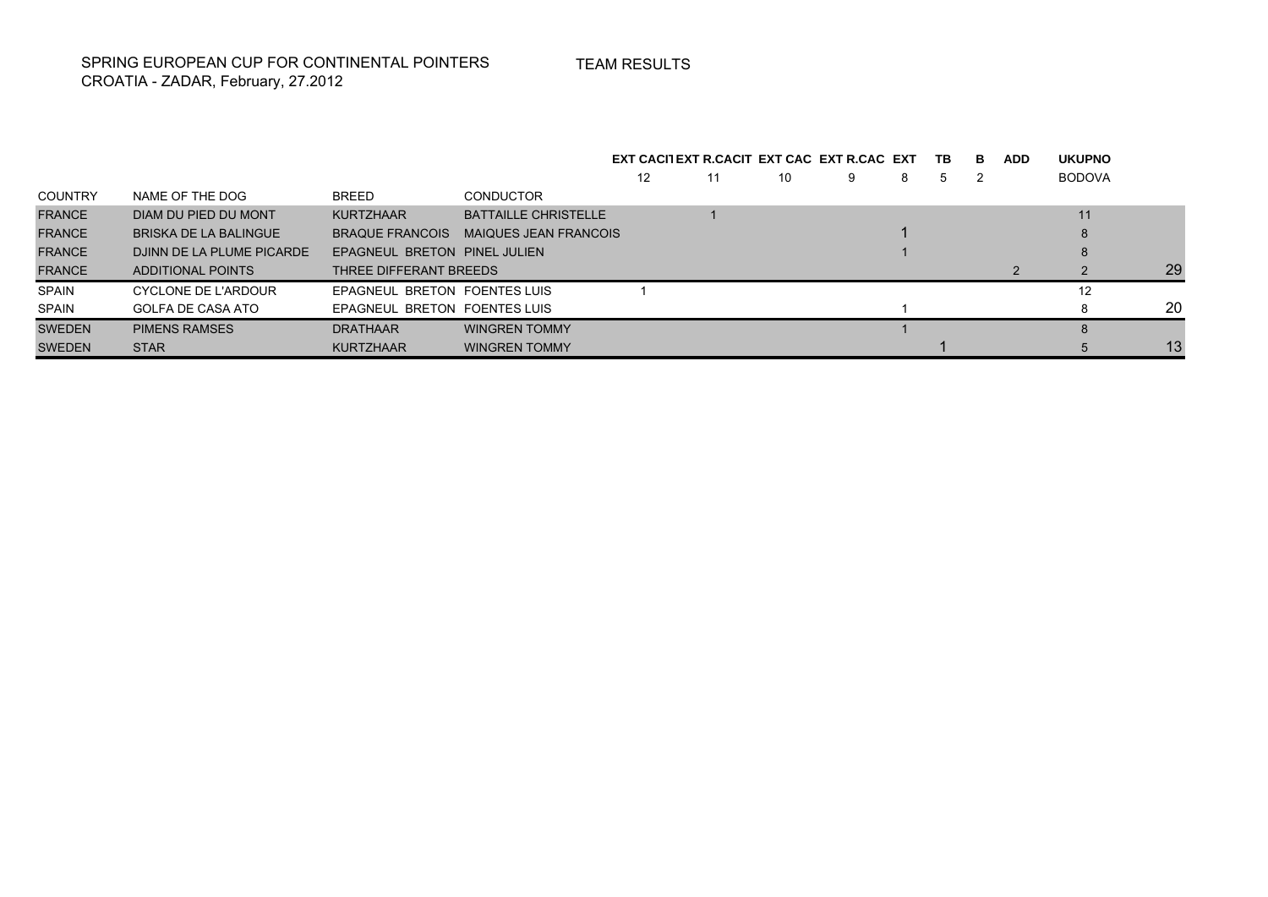TEAM RESULTS

SPRING EUROPEAN CUP FOR CONTINENTAL POINTERS CROATIA - ZADAR, February, 27.2012

|                |                           |                              |                             |    | EXT CACILEXT R.CACIT EXT CAC EXT R.CAC EXT |    |   |   | TB. | в | <b>ADD</b> | <b>UKUPNO</b> |    |
|----------------|---------------------------|------------------------------|-----------------------------|----|--------------------------------------------|----|---|---|-----|---|------------|---------------|----|
|                |                           |                              |                             | 12 | 11                                         | 10 | 9 | 8 | 5   |   |            | <b>BODOVA</b> |    |
| <b>COUNTRY</b> | NAME OF THE DOG           | BREED                        | <b>CONDUCTOR</b>            |    |                                            |    |   |   |     |   |            |               |    |
| <b>FRANCE</b>  | DIAM DU PIED DU MONT      | <b>KURTZHAAR</b>             | <b>BATTAILLE CHRISTELLE</b> |    |                                            |    |   |   |     |   |            | 11            |    |
| <b>FRANCE</b>  | BRISKA DE LA BALINGUE     | <b>BRAQUE FRANCOIS</b>       | MAIQUES JEAN FRANCOIS       |    |                                            |    |   |   |     |   |            |               |    |
| <b>FRANCE</b>  | DJINN DE LA PLUME PICARDE | EPAGNEUL BRETON PINEL JULIEN |                             |    |                                            |    |   |   |     |   |            |               |    |
| <b>FRANCE</b>  | ADDITIONAL POINTS         | THREE DIFFERANT BREEDS       |                             |    |                                            |    |   |   |     |   |            |               | 29 |
| <b>SPAIN</b>   | CYCLONE DE L'ARDOUR       | EPAGNEUL BRETON FOENTES LUIS |                             |    |                                            |    |   |   |     |   |            | 12            |    |
| <b>SPAIN</b>   | GOLFA DE CASA ATO         | EPAGNEUL BRETON FOENTES LUIS |                             |    |                                            |    |   |   |     |   |            |               | 20 |
| <b>SWEDEN</b>  | <b>PIMENS RAMSES</b>      | <b>DRATHAAR</b>              | <b>WINGREN TOMMY</b>        |    |                                            |    |   |   |     |   |            |               |    |
| <b>SWEDEN</b>  | <b>STAR</b>               | <b>KURTZHAAR</b>             | <b>WINGREN TOMMY</b>        |    |                                            |    |   |   |     |   |            |               | 13 |